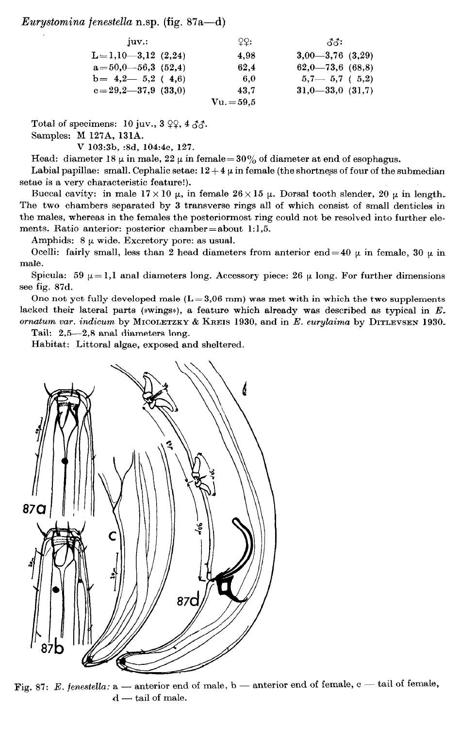## Eurystomina fenestella n.sp. (fig.  $87a-d$ )

| 10V                                   | 99:        | ਨਨ:                     |
|---------------------------------------|------------|-------------------------|
| $L=1,10-3,12(2,24)$                   | 4.98       | $3,00-3,76$ $(3,29)$    |
| $a = 50, 0 - 56, 3 \thinspace (52.4)$ | 62.4       | $62,0$ –73,6 (68,8)     |
| $b = 4,2$ $- 5,2$ (4.6)               | -6.0       | $5,7$ $ 5,7$ ( $5,2$ )  |
| $c=29.2-37.9(33.0)$                   | 43.7       | $31,0$ $-33,0$ $(31,7)$ |
|                                       | $Vu.=59.5$ |                         |

Total of specimens: 10 juv.,  $3 \varphi$ ,  $4 \varphi$ .

Samples: M 127A, 131A.

V 103:3b, :8d, 104:4c, 127.

Head: diameter 18  $\mu$  in male, 22  $\mu$  in female = 30% of diameter at end of esophagus.

Labial papillae: small. Cephalic setae:  $12+4 \mu$  in female (the shortness of four of the submedian setae is a very characteristic feature!).

Buccal cavity: in male  $17 \times 10 \mu$ , in female  $26 \times 15 \mu$ . Dorsal tooth slender, 20  $\mu$  in length. The two chambers separated by 3 transverse rings all of which consist of small denticles in the males, whereas in the females the posteriormost ring could not be resolved into further elements. Ratio anterior: posterior chamber=about 1:1,5.

Amphids:  $8 \mu$  wide. Excretory pore: as usual.

Ocelli: fairly small, less than 2 head diameters from anterior end = 40  $\mu$  in female, 30  $\mu$  in male.

Spicula: 59  $\mu = 1,1$  anal diameters long. Accessory piece: 26  $\mu$  long. For further dimensions see fig. 87d.

One not yet fully developed male  $(L=3.06 \text{ mm})$  was met with in which the two supplements lacked their lateral parts (wwings), a feature which already was described as typical in  $E$ . ornatum var. indicum by MICOLETZKY & KREIS 1930, and in E. eurylaima by DITLEVSEN 1930.

Tail: 2,5-2,8 anal diameters long.

Habitat: Littoral algae, exposed and sheltered.



Fig. 87: E. fenestella:  $a$  - anterior end of male,  $b$  - anterior end of female,  $c$  - tail of female,  $d$  - tail of male.